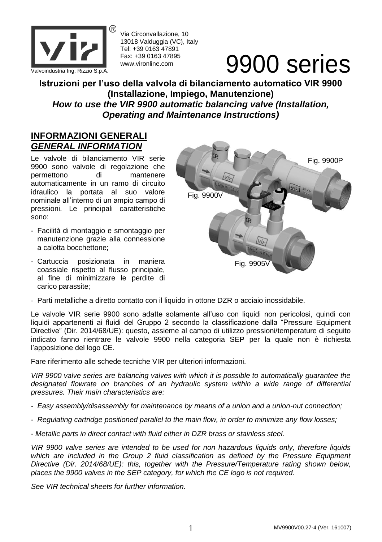

Via Circonvallazione, 10 13018 Valduggia (VC), Italy Tel: +39 0163 47891 Fax: +39 0163 47895 www.vironline.com

# Valvoindustria Ing. Rizzio S.p.A. Fax: +39 0163 47895<br>Valvoindustria Ing. Rizzio S.p.A.

**Istruzioni per l'uso della valvola di bilanciamento automatico VIR 9900 (Installazione, Impiego, Manutenzione)** *How to use the VIR 9900 automatic balancing valve (Installation, Operating and Maintenance Instructions)*

## **INFORMAZIONI GENERALI** *GENERAL INFORMATION*

Le valvole di bilanciamento VIR serie 9900 sono valvole di regolazione che permettono di mantenere automaticamente in un ramo di circuito idraulico la portata al suo valore nominale all'interno di un ampio campo di pressioni. Le principali caratteristiche sono:

- Facilità di montaggio e smontaggio per manutenzione grazie alla connessione a calotta bocchettone;
- Cartuccia posizionata in maniera coassiale rispetto al flusso principale, al fine di minimizzare le perdite di carico parassite;



- Parti metalliche a diretto contatto con il liquido in ottone DZR o acciaio inossidabile.

Le valvole VIR serie 9900 sono adatte solamente all'uso con liquidi non pericolosi, quindi con liquidi appartenenti ai fluidi del Gruppo 2 secondo la classificazione dalla "Pressure Equipment Directive" (Dir. 2014/68/UE): questo, assieme al campo di utilizzo pressioni/temperature di seguito indicato fanno rientrare le valvole 9900 nella categoria SEP per la quale non è richiesta l'apposizione del logo CE.

Fare riferimento alle schede tecniche VIR per ulteriori informazioni.

*VIR 9900 valve series are balancing valves with which it is possible to automatically guarantee the*  designated flowrate on branches of an hydraulic system within a wide range of differential *pressures. Their main characteristics are:*

- *- Easy assembly/disassembly for maintenance by means of a union and a union-nut connection;*
- *- Regulating cartridge positioned parallel to the main flow, in order to minimize any flow losses;*
- *- Metallic parts in direct contact with fluid either in DZR brass or stainless steel.*

*VIR 9900 valve series are intended to be used for non hazardous liquids only, therefore liquids*  which are included in the Group 2 fluid classification as defined by the Pressure Equipment *Directive (Dir. 2014/68/UE): this, together with the Pressure/Temperature rating shown below, places the 9900 valves in the SEP category, for which the CE logo is not required.*

*See VIR technical sheets for further information.*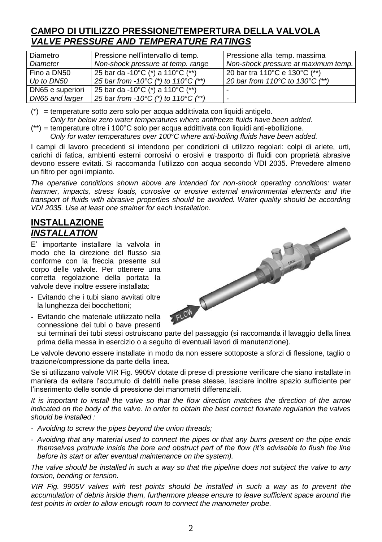## **CAMPO DI UTILIZZO PRESSIONE/TEMPERTURA DELLA VALVOLA** *VALVE PRESSURE AND TEMPERATURE RATINGS*

| Diametro         | Pressione nell'intervallo di temp.                        | Pressione alla temp. massima        |
|------------------|-----------------------------------------------------------|-------------------------------------|
| Diameter         | Non-shock pressure at temp. range                         | Non-shock pressure at maximum temp. |
| Fino a DN50      | 25 bar da -10°C (*) a 110°C (**)                          | 20 bar tra 110°C e 130°C (**)       |
| Up to DN50       | 25 bar from -10 $^{\circ}$ C (*) to 110 $^{\circ}$ C (**) | 20 bar from 110°C to 130°C (**)     |
| DN65 e superiori | 25 bar da -10°C (*) a 110°C (**)                          |                                     |
| DN65 and larger  | 25 bar from -10 $^{\circ}$ C (*) to 110 $^{\circ}$ C (**) |                                     |

(\*) = temperature sotto zero solo per acqua addittivata con liquidi antigelo.

*Only for below zero water temperatures where antifreeze fluids have been added.*

(\*\*) = temperature oltre i 100°C solo per acqua addittivata con liquidi anti-ebollizione.

*Only for water temperatures over 100°C where anti-boiling fluids have been added.*

I campi di lavoro precedenti si intendono per condizioni di utilizzo regolari: colpi di ariete, urti, carichi di fatica, ambienti esterni corrosivi o erosivi e trasporto di fluidi con proprietà abrasive devono essere evitati. Si raccomanda l'utilizzo con acqua secondo VDI 2035. Prevedere almeno un filtro per ogni impianto.

*The operative conditions shown above are intended for non-shock operating conditions: water hammer, impacts, stress loads, corrosive or erosive external environmental elements and the transport of fluids with abrasive properties should be avoided. Water quality should be according* 

#### **INSTALLAZIONE** *INSTALLATION*

E' importante installare la valvola in modo che la direzione del flusso sia conforme con la freccia presente sul corpo delle valvole. Per ottenere una corretta regolazione della portata la valvole deve inoltre essere installata:

- Evitando che i tubi siano avvitati oltre la lunghezza dei bocchettoni;
- Evitando che materiale utilizzato nella connessione dei tubi o bave presenti

sui terminali dei tubi stessi ostruiscano parte del passaggio (si raccomanda il lavaggio della linea prima della messa in esercizio o a seguito di eventuali lavori di manutenzione).

Le valvole devono essere installate in modo da non essere sottoposte a sforzi di flessione, taglio o trazione/compressione da parte della linea.

Se si utilizzano valvole VIR Fig. 9905V dotate di prese di pressione verificare che siano installate in maniera da evitare l'accumulo di detriti nelle prese stesse, lasciare inoltre spazio sufficiente per l'inserimento delle sonde di pressione dei manometri differenziali.

*It is important to install the valve so that the flow direction matches the direction of the arrow indicated on the body of the valve. In order to obtain the best correct flowrate regulation the valves should be installed :*

- *- Avoiding to screw the pipes beyond the union threads;*
- *- Avoiding that any material used to connect the pipes or that any burrs present on the pipe ends themselves protrude inside the bore and obstruct part of the flow (it's advisable to flush the line before its start or after eventual maintenance on the system).*

*The valve should be installed in such a way so that the pipeline does not subject the valve to any torsion, bending or tension.*

*VIR Fig. 9905V valves with test points should be installed in such a way as to prevent the accumulation of debris inside them, furthermore please ensure to leave sufficient space around the test points in order to allow enough room to connect the manometer probe.*

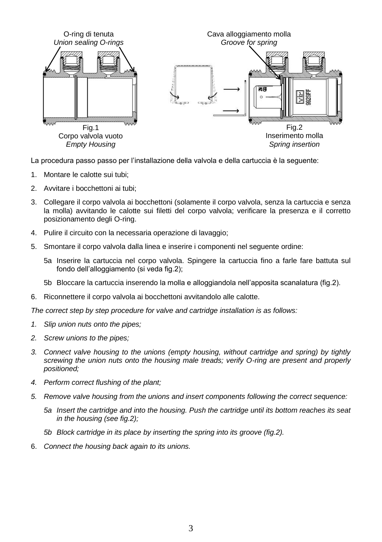

La procedura passo passo per l'installazione della valvola e della cartuccia è la seguente:

- 1. Montare le calotte sui tubi;
- 2. Avvitare i bocchettoni ai tubi;
- 3. Collegare il corpo valvola ai bocchettoni (solamente il corpo valvola, senza la cartuccia e senza la molla) avvitando le calotte sui filetti del corpo valvola; verificare la presenza e il corretto posizionamento degli O-ring.
- 4. Pulire il circuito con la necessaria operazione di lavaggio;
- 5. Smontare il corpo valvola dalla linea e inserire i componenti nel seguente ordine:
	- 5a Inserire la cartuccia nel corpo valvola. Spingere la cartuccia fino a farle fare battuta sul fondo dell'alloggiamento (si veda fig.2);
	- 5b Bloccare la cartuccia inserendo la molla e alloggiandola nell'apposita scanalatura (fig.2).
- 6. Riconnettere il corpo valvola ai bocchettoni avvitandolo alle calotte.

*The correct step by step procedure for valve and cartridge installation is as follows:*

- *1. Slip union nuts onto the pipes;*
- *2. Screw unions to the pipes;*
- *3. Connect valve housing to the unions (empty housing, without cartridge and spring) by tightly screwing the union nuts onto the housing male treads; verify O-ring are present and properly positioned;*
- *4. Perform correct flushing of the plant;*
- *5. Remove valve housing from the unions and insert components following the correct sequence:*
	- *5a Insert the cartridge and into the housing. Push the cartridge until its bottom reaches its seat in the housing (see fig.2);*
	- *5b Block cartridge in its place by inserting the spring into its groove (fig.2).*
- 6. *Connect the housing back again to its unions.*